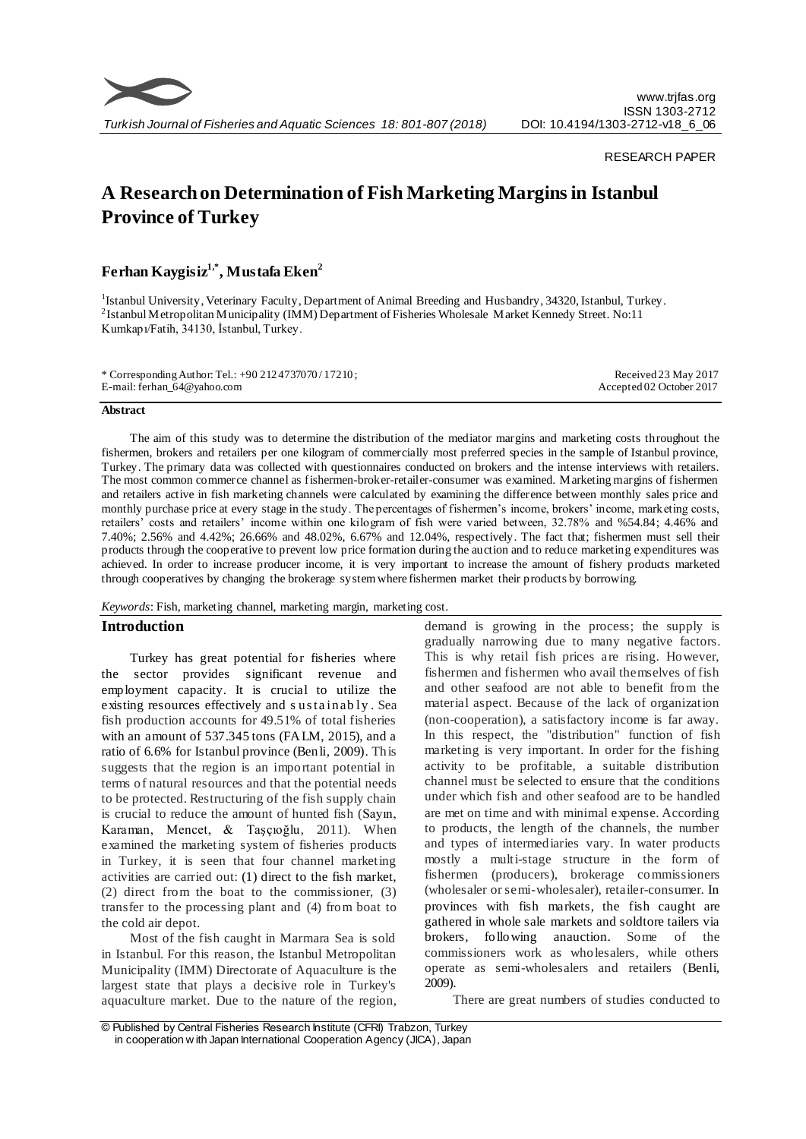

#### RESEARCH PAPER

# **A Research on Determination of Fish Marketing Margins in Istanbul Province of Turkey**

## **Ferhan Kaygisiz 1,\*, Mustafa Eken<sup>2</sup>**

<sup>1</sup>Istanbul University, Veterinary Faculty, Department of Animal Breeding and Husbandry, 34320, Istanbul, Turkey. <sup>2</sup> Istanbul Metropolitan Municipality (IMM) Department of Fisheries Wholesale Market Kennedy Street. No:11 Kumkapı/Fatih, 34130, İstanbul, Turkey.

| * Corresponding Author: Tel.: $+90\,212\,4737070/17210$ ; | Received 23 May 2017     |
|-----------------------------------------------------------|--------------------------|
| E-mail: ferhan_64@yahoo.com                               | Accepted 02 October 2017 |

#### **Abstract**

The aim of this study was to determine the distribution of the mediator margins and marketing costs throughout the fishermen, brokers and retailers per one kilogram of commercially most preferred species in the sample of Istanbul province, Turkey. The primary data was collected with questionnaires conducted on brokers and the intense interviews with retailers. The most common commerce channel as fishermen-broker-retailer-consumer was examined. Marketing margins of fishermen and retailers active in fish marketing channels were calculated by examining the difference between monthly sales price and monthly purchase price at every stage in the study. The percentages of fishermen's income, brokers' income, marketing costs, retailers' costs and retailers' income within one kilogram of fish were varied between, 32.78% and %54.84; 4.46% and 7.40%; 2.56% and 4.42%; 26.66% and 48.02%, 6.67% and 12.04%, respectively. The fact that; fishermen must sell their products through the cooperative to prevent low price formation during the auction and to reduce marketing expenditures was achieved. In order to increase producer income, it is very important to increase the amount of fishery products marketed through cooperatives by changing the brokerage system where fishermen market their products by borrowing.

#### *Keywords*: Fish, marketing channel, marketing margin, marketing cost.

#### **Introduction**

Turkey has great potential for fisheries where the sector provides significant revenue and employment capacity. It is crucial to utilize the existing resources effectively and s us ta inab ly . Sea fish production accounts for 49.51% of total fisheries with an amount of 537.345 tons (FALM, 2015), and a ratio of 6.6% for Istanbul province (Benli, 2009). This suggests that the region is an important potential in terms of natural resources and that the potential needs to be protected. Restructuring of the fish supply chain is crucial to reduce the amount of hunted fish (Sayın, Karaman, Mencet, & Taşçıoğlu, 2011). When examined the marketing system of fisheries products in Turkey, it is seen that four channel marketing activities are carried out: (1) direct to the fish market, (2) direct from the boat to the commissioner, (3) transfer to the processing plant and (4) from boat to the cold air depot.

Most of the fish caught in Marmara Sea is sold in Istanbul. For this reason, the Istanbul Metropolitan Municipality (IMM) Directorate of Aquaculture is the largest state that plays a decisive role in Turkey's aquaculture market. Due to the nature of the region, demand is growing in the process; the supply is gradually narrowing due to many negative factors. This is why retail fish prices are rising. However, fishermen and fishermen who avail themselves of fish and other seafood are not able to benefit from the material aspect. Because of the lack of organization (non-cooperation), a satisfactory income is far away. In this respect, the "distribution" function of fish marketing is very important. In order for the fishing activity to be profitable, a suitable distribution channel must be selected to ensure that the conditions under which fish and other seafood are to be handled are met on time and with minimal expense. According to products, the length of the channels, the number and types of intermediaries vary. In water products mostly a multi-stage structure in the form of fishermen (producers), brokerage commissioners (wholesaler or semi-wholesaler), retailer-consumer. In provinces with fish markets, the fish caught are gathered in whole sale markets and soldtore tailers via brokers, following anauction. Some of the commissioners work as wholesalers, while others operate as semi-wholesalers and retailers (Benli, 2009).

There are great numbers of studies conducted to

<sup>©</sup> Published by Central Fisheries Research Institute (CFRI) Trabzon, Turkey in cooperation w ith Japan International Cooperation Agency (JICA), Japan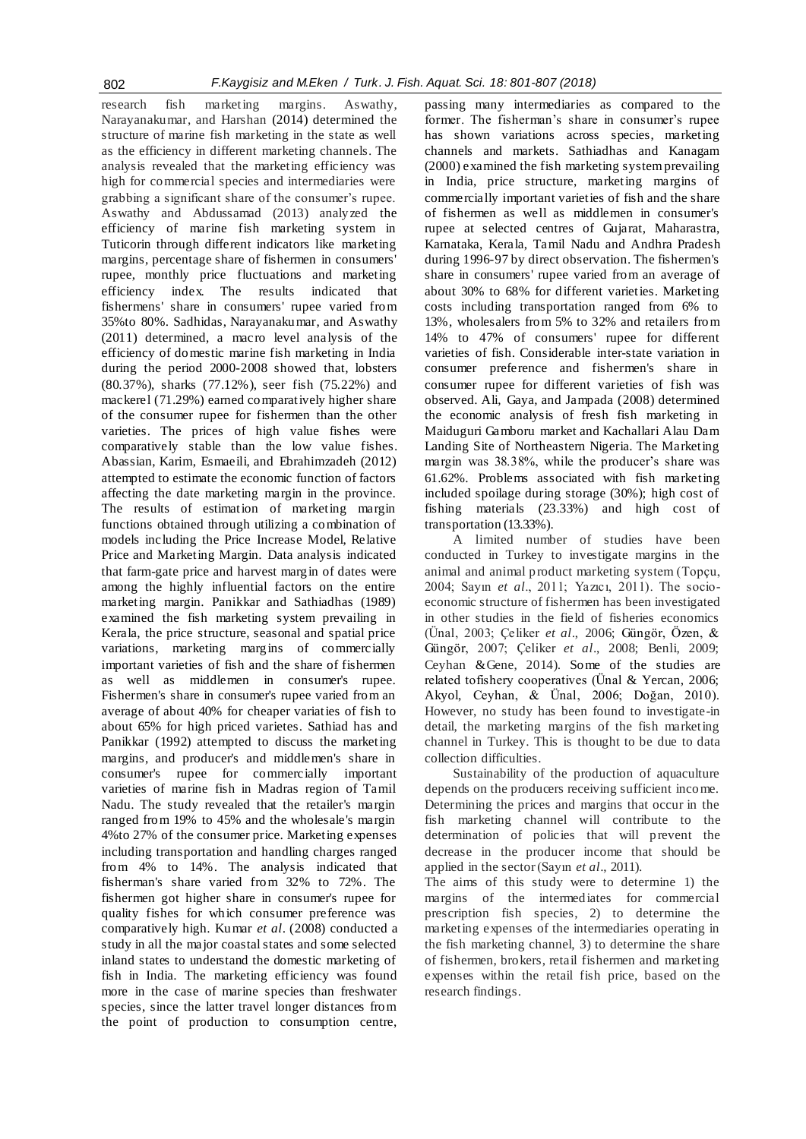research fish marketing margins. Aswathy, Narayanakumar, and Harshan (2014) determined the structure of marine fish marketing in the state as well as the efficiency in different marketing channels. The analysis revealed that the marketing efficiency was high for commercial species and intermediaries were grabbing a significant share of the consumer's rupee. Aswathy and Abdussamad (2013) analyzed the efficiency of marine fish marketing system in Tuticorin through different indicators like marketing margins, percentage share of fishermen in consumers' rupee, monthly price fluctuations and marketing efficiency index. The results indicated that fishermens' share in consumers' rupee varied from 35%to 80%. Sadhidas, Narayanakumar, and Aswathy (2011) determined, a macro level analysis of the efficiency of domestic marine fish marketing in India during the period 2000-2008 showed that, lobsters (80.37%), sharks (77.12%), seer fish (75.22%) and mackerel (71.29%) earned comparatively higher share of the consumer rupee for fishermen than the other varieties. The prices of high value fishes were comparatively stable than the low value fishes. Abassian, Karim, Esmaeili, and Ebrahimzadeh (2012) attempted to estimate the economic function of factors affecting the date marketing margin in the province. The results of estimation of marketing margin functions obtained through utilizing a combination of models including the Price Increase Model, Relative Price and Marketing Margin. Data analysis indicated that farm-gate price and harvest margin of dates were among the highly influential factors on the entire marketing margin. Panikkar and Sathiadhas (1989) examined the fish marketing system prevailing in Kerala, the price structure, seasonal and spatial price variations, marketing margins of commercially important varieties of fish and the share of fishermen as well as middlemen in consumer's rupee. Fishermen's share in consumer's rupee varied from an average of about 40% for cheaper variaties of fish to about 65% for high priced varietes. Sathiad has and Panikkar (1992) attempted to discuss the marketing margins, and producer's and middlemen's share in consumer's rupee for commercially important varieties of marine fish in Madras region of Tamil Nadu. The study revealed that the retailer's margin ranged from 19% to 45% and the wholesale's margin 4%to 27% of the consumer price. Marketing expenses including transportation and handling charges ranged from 4% to 14%. The analysis indicated that fisherman's share varied from 32% to 72%. The fishermen got higher share in consumer's rupee for quality fishes for which consumer preference was comparatively high. Kumar *et al*. (2008) conducted a study in all the ma jor coastal states and some selected inland states to understand the domestic marketing of fish in India. The marketing efficiency was found more in the case of marine species than freshwater species, since the latter travel longer distances from the point of production to consumption centre, passing many intermediaries as compared to the former. The fisherman's share in consumer's rupee has shown variations across species, marketing channels and markets. Sathiadhas and Kanagam (2000) examined the fish marketing system prevailing in India, price structure, marketing margins of commercially important varieties of fish and the share of fishermen as well as middlemen in consumer's rupee at selected centres of Gujarat, Maharastra, Karnataka, Kerala, Tamil Nadu and Andhra Pradesh during 1996-97 by direct observation. The fishermen's share in consumers' rupee varied from an average of about 30% to 68% for different varieties. Marketing costs including transportation ranged from 6% to 13%, wholesalers from 5% to 32% and retailers from 14% to 47% of consumers' rupee for different varieties of fish. Considerable inter-state variation in consumer preference and fishermen's share in consumer rupee for different varieties of fish was observed. Ali, Gaya, and Jampada (2008) determined the economic analysis of fresh fish marketing in Maiduguri Gamboru market and Kachallari Alau Dam Landing Site of Northeastern Nigeria. The Marketing margin was 38.38%, while the producer's share was 61.62%. Problems associated with fish marketing included spoilage during storage (30%); high cost of fishing materials (23.33%) and high cost of transportation (13.33%).

A limited number of studies have been conducted in Turkey to investigate margins in the animal and animal product marketing system (Topçu, 2004; Sayın *et al*., 2011; Yazıcı, 2011). The socioeconomic structure of fishermen has been investigated in other studies in the field of fisheries economics (Ünal, 2003; Çeliker *et al*., 2006; Güngör, Özen, & Güngör, 2007; Çeliker *et al*., 2008; Benli, 2009; Ceyhan &Gene, 2014). Some of the studies are related tofishery cooperatives (Ünal & Yercan, 2006; Akyol, Ceyhan, & Ünal, 2006; Doğan, 2010). However, no study has been found to investigate-in detail, the marketing margins of the fish marketing channel in Turkey. This is thought to be due to data collection difficulties.

Sustainability of the production of aquaculture depends on the producers receiving sufficient income. Determining the prices and margins that occur in the fish marketing channel will contribute to the determination of policies that will prevent the decrease in the producer income that should be applied in the sector(Sayın *et al*., 2011).

The aims of this study were to determine 1) the margins of the intermediates for commercial prescription fish species, 2) to determine the marketing expenses of the intermediaries operating in the fish marketing channel, 3) to determine the share of fishermen, brokers, retail fishermen and marketing expenses within the retail fish price, based on the research findings.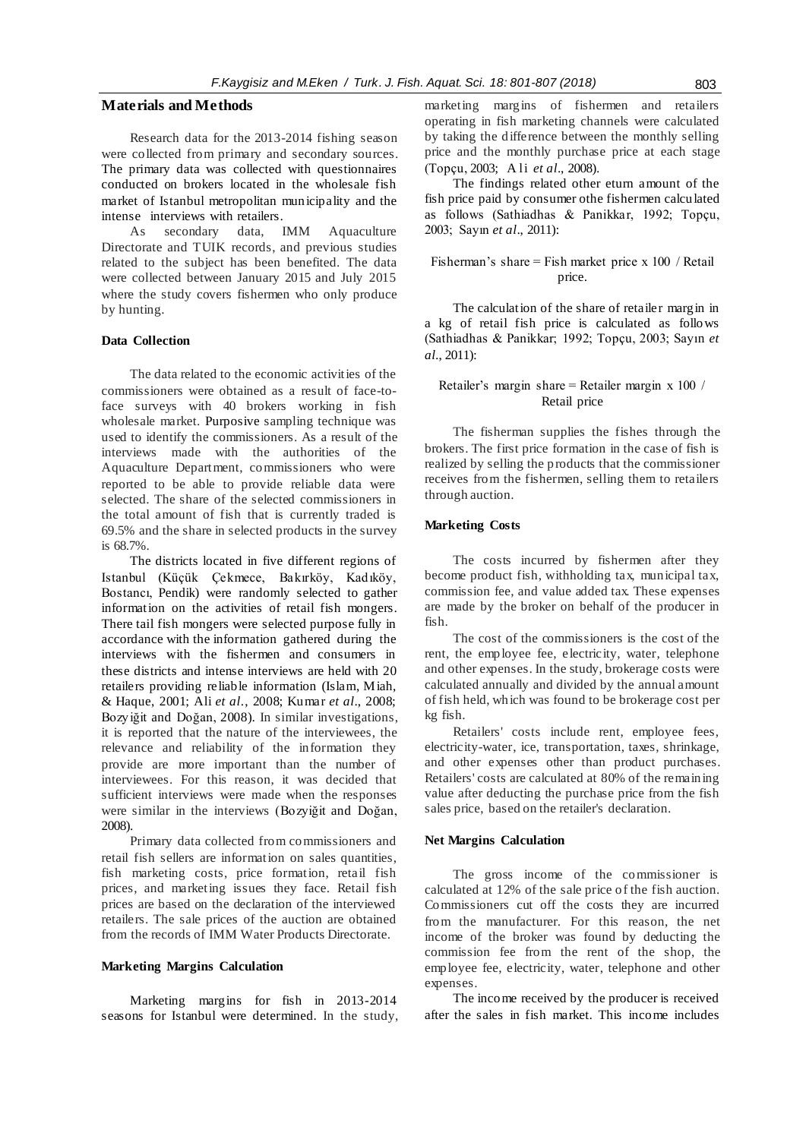## **Materials and Methods**

Research data for the 2013-2014 fishing season were collected from primary and secondary sources. The primary data was collected with questionnaires conducted on brokers located in the wholesale fish market of Istanbul metropolitan municipality and the intense interviews with retailers.

As secondary data, IMM Aquaculture Directorate and TUIK records, and previous studies related to the subject has been benefited. The data were collected between January 2015 and July 2015 where the study covers fishermen who only produce by hunting.

#### **Data Collection**

The data related to the economic activities of the commissioners were obtained as a result of face-toface surveys with 40 brokers working in fish wholesale market. Purposive sampling technique was used to identify the commissioners. As a result of the interviews made with the authorities of the Aquaculture Department, commissioners who were reported to be able to provide reliable data were selected. The share of the selected commissioners in the total amount of fish that is currently traded is 69.5% and the share in selected products in the survey is 68.7%.

The districts located in five different regions of Istanbul (Küçük Çekmece, Bakırköy, Kadıköy, Bostancı, Pendik) were randomly selected to gather information on the activities of retail fish mongers. There tail fish mongers were selected purpose fully in accordance with the information gathered during the interviews with the fishermen and consumers in these districts and intense interviews are held with 20 retailers providing reliable information (Islam, Miah, & Haque, 2001; Ali *et al*., 2008; Kumar *et al*., 2008; Bozyiğit and Doğan, 2008). In similar investigations, it is reported that the nature of the interviewees, the relevance and reliability of the information they provide are more important than the number of interviewees. For this reason, it was decided that sufficient interviews were made when the responses were similar in the interviews (Bozyiğit and Doğan, 2008).

Primary data collected from commissioners and retail fish sellers are information on sales quantities, fish marketing costs, price formation, retail fish prices, and marketing issues they face. Retail fish prices are based on the declaration of the interviewed retailers. The sale prices of the auction are obtained from the records of IMM Water Products Directorate.

#### **Marketing Margins Calculation**

Marketing margins for fish in 2013-2014 seasons for Istanbul were determined. In the study, marketing margins of fishermen and retailers operating in fish marketing channels were calculated by taking the difference between the monthly selling price and the monthly purchase price at each stage (Topçu, 2003; A li *et al*., 2008).

The findings related other eturn amount of the fish price paid by consumer othe fishermen calculated as follows (Sathiadhas & Panikkar, 1992; Topçu, 2003; Sayın *et al*., 2011):

#### Fisherman's share = Fish market price x 100 / Retail price.

The calculation of the share of retailer margin in a kg of retail fish price is calculated as follows (Sathiadhas & Panikkar; 1992; Topçu, 2003; Sayın *et al.*, 2011):

## Retailer's margin share = Retailer margin x 100 / Retail price

The fisherman supplies the fishes through the brokers. The first price formation in the case of fish is realized by selling the products that the commissioner receives from the fishermen, selling them to retailers through auction.

#### **Marketing Costs**

The costs incurred by fishermen after they become product fish, withholding tax, municipal tax, commission fee, and value added tax. These expenses are made by the broker on behalf of the producer in fish.

The cost of the commissioners is the cost of the rent, the employee fee, electricity, water, telephone and other expenses. In the study, brokerage costs were calculated annually and divided by the annual amount of fish held, which was found to be brokerage cost per kg fish.

Retailers' costs include rent, employee fees, electricity-water, ice, transportation, taxes, shrinkage, and other expenses other than product purchases. Retailers' costs are calculated at 80% of the remaining value after deducting the purchase price from the fish sales price, based on the retailer's declaration.

#### **Net Margins Calculation**

The gross income of the commissioner is calculated at 12% of the sale price of the fish auction. Commissioners cut off the costs they are incurred from the manufacturer. For this reason, the net income of the broker was found by deducting the commission fee from the rent of the shop, the employee fee, electricity, water, telephone and other expenses.

The income received by the producer is received after the sales in fish market. This income includes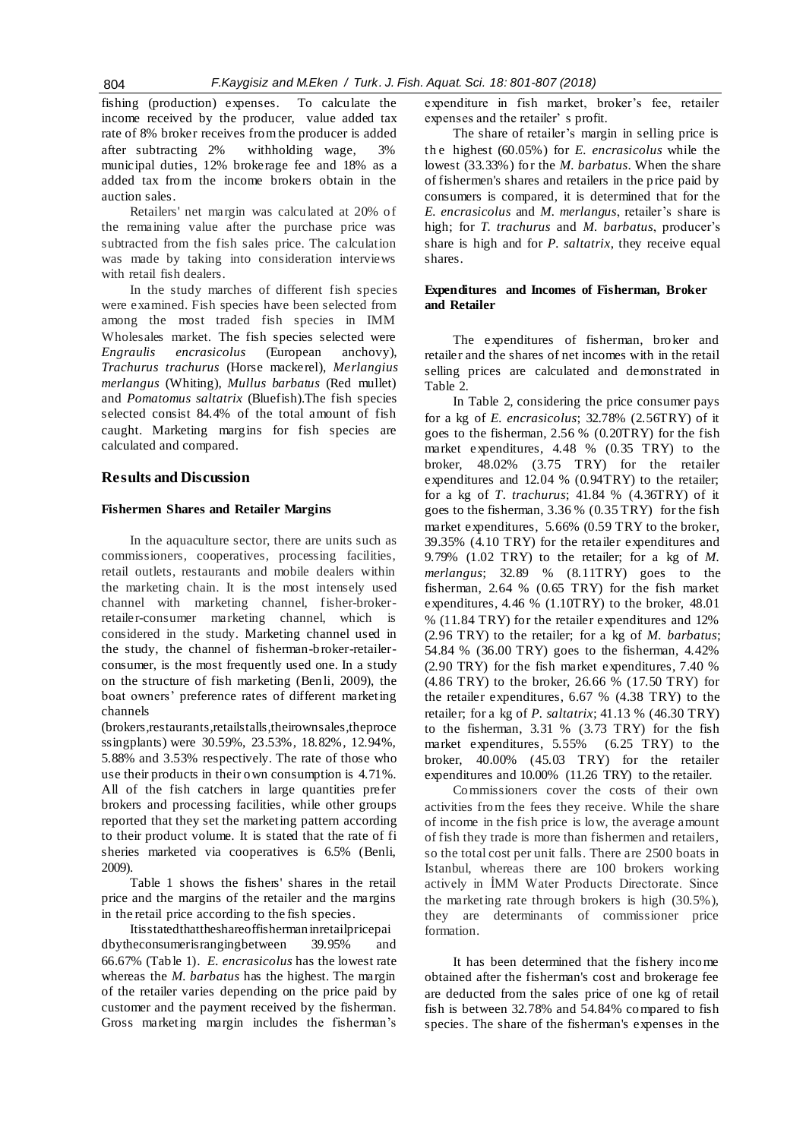fishing (production) expenses. To calculate the income received by the producer, value added tax rate of 8% broker receives from the producer is added after subtracting 2% withholding wage, 3% municipal duties, 12% brokerage fee and 18% as a added tax from the income brokers obtain in the auction sales.

Retailers' net margin was calculated at 20% of the remaining value after the purchase price was subtracted from the fish sales price. The calculation was made by taking into consideration interviews with retail fish dealers.

In the study marches of different fish species were examined. Fish species have been selected from among the most traded fish species in IMM Wholesales market. The fish species selected were *Engraulis encrasicolus* (European anchovy), *Trachurus trachurus* (Horse mackerel), *Merlangius merlangus* (Whiting), *Mullus barbatus* (Red mullet) and *Pomatomus saltatrix* (Bluefish).The fish species selected consist 84.4% of the total amount of fish caught. Marketing margins for fish species are calculated and compared.

#### **Results and Discussion**

## **Fishermen Shares and Retailer Margins**

In the aquaculture sector, there are units such as commissioners, cooperatives, processing facilities, retail outlets, restaurants and mobile dealers within the marketing chain. It is the most intensely used channel with marketing channel, fisher-brokerretailer-consumer marketing channel, which is considered in the study. Marketing channel used in the study, the channel of fisherman-broker-retailerconsumer, is the most frequently used one. In a study on the structure of fish marketing (Benli, 2009), the boat owners' preference rates of different marketing channels

(brokers,restaurants,retailstalls,theirownsales,theproce ssingplants) were 30.59%, 23.53%, 18.82%, 12.94%, 5.88% and 3.53% respectively. The rate of those who use their products in their own consumption is 4.71%. All of the fish catchers in large quantities prefer brokers and processing facilities, while other groups reported that they set the marketing pattern according to their product volume. It is stated that the rate of fi sheries marketed via cooperatives is 6.5% (Benli, 2009).

Table 1 shows the fishers' shares in the retail price and the margins of the retailer and the margins in the retail price according to the fish species.

Itisstatedthattheshareoffishermaninretailpricepai dbytheconsumerisrangingbetween 39.95% and 66.67% (Table 1). *E. encrasicolus* has the lowest rate whereas the *M. barbatus* has the highest. The margin of the retailer varies depending on the price paid by customer and the payment received by the fisherman. Gross marketing margin includes the fisherman's expenditure in fish market, broker's fee, retailer expenses and the retailer' s profit.

The share of retailer's margin in selling price is th e highest (60.05%) for *E. encrasicolus* while the lowest (33.33%) for the *M. barbatus*. When the share of fishermen's shares and retailers in the price paid by consumers is compared, it is determined that for the *E. encrasicolus* and *M. merlangus*, retailer's share is high; for *T. trachurus* and *M. barbatus*, producer's share is high and for *P. saltatrix*, they receive equal shares.

#### **Expenditures and Incomes of Fisherman, Broker and Retailer**

The expenditures of fisherman, broker and retailer and the shares of net incomes with in the retail selling prices are calculated and demonstrated in Table 2.

In Table 2, considering the price consumer pays for a kg of *E. encrasicolus*; 32.78% (2.56TRY) of it goes to the fisherman, 2.56 % (0.20TRY) for the fish market expenditures, 4.48 % (0.35 TRY) to the broker, 48.02% (3.75 TRY) for the retailer expenditures and 12.04 % (0.94TRY) to the retailer; for a kg of *T. trachurus*; 41.84 % (4.36TRY) of it goes to the fisherman, 3.36 % (0.35 TRY) for the fish market expenditures, 5.66% (0.59 TRY to the broker, 39.35% (4.10 TRY) for the retailer expenditures and 9.79% (1.02 TRY) to the retailer; for a kg of *M. merlangus*; 32.89 % (8.11TRY) goes to the fisherman, 2.64 % (0.65 TRY) for the fish market expenditures, 4.46 % (1.10TRY) to the broker, 48.01 % (11.84 TRY) for the retailer expenditures and 12% (2.96 TRY) to the retailer; for a kg of *M. barbatus*; 54.84 % (36.00 TRY) goes to the fisherman, 4.42% (2.90 TRY) for the fish market expenditures, 7.40 % (4.86 TRY) to the broker, 26.66 % (17.50 TRY) for the retailer expenditures, 6.67 % (4.38 TRY) to the retailer; for a kg of *P. saltatrix*; 41.13 % (46.30 TRY) to the fisherman, 3.31 % (3.73 TRY) for the fish market expenditures, 5.55% (6.25 TRY) to the broker, 40.00% (45.03 TRY) for the retailer expenditures and 10.00% (11.26 TRY) to the retailer.

Commissioners cover the costs of their own activities from the fees they receive. While the share of income in the fish price is low, the average amount of fish they trade is more than fishermen and retailers, so the total cost per unit falls. There are 2500 boats in Istanbul, whereas there are 100 brokers working actively in İMM Water Products Directorate. Since the marketing rate through brokers is high (30.5%), they are determinants of commissioner price formation.

It has been determined that the fishery income obtained after the fisherman's cost and brokerage fee are deducted from the sales price of one kg of retail fish is between 32.78% and 54.84% compared to fish species. The share of the fisherman's expenses in the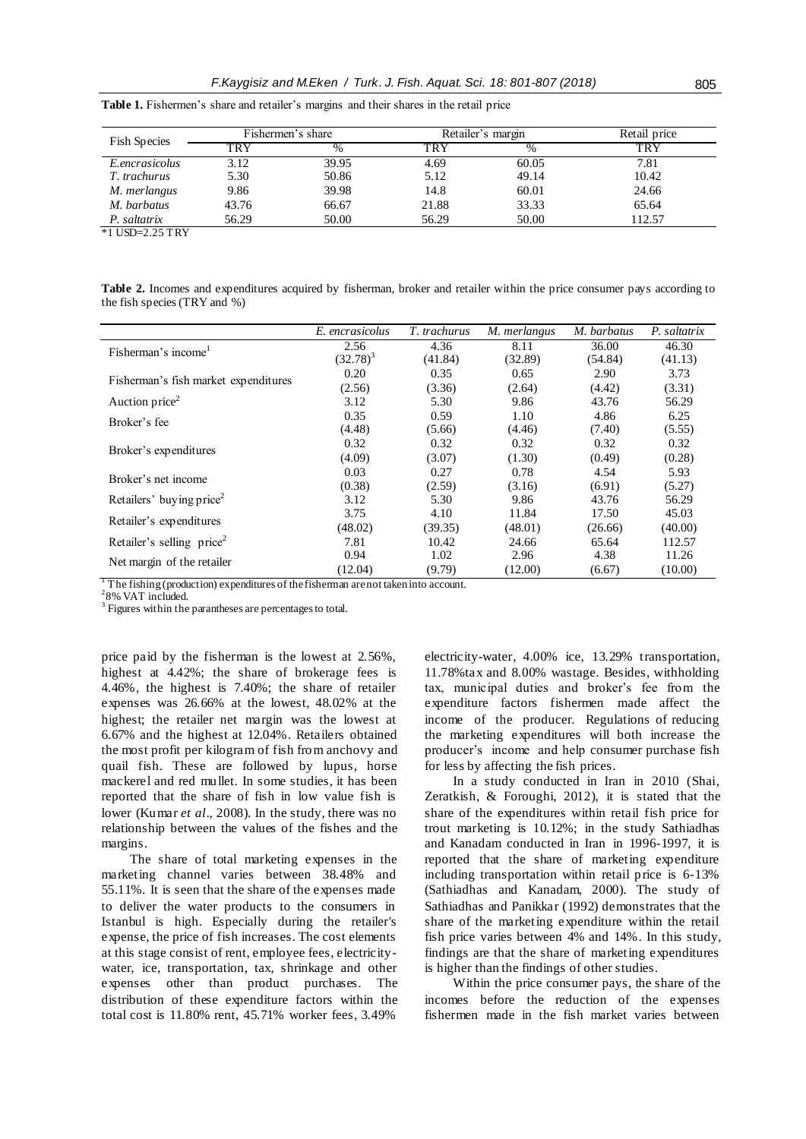| <b>Fish Species</b> | Fishermen's share |       | Retailer's margin |       | Retail price |  |
|---------------------|-------------------|-------|-------------------|-------|--------------|--|
|                     | TRY               | $\%$  | TRY               | %     | TRY          |  |
| E.encrasicolus      | 3.12              | 39.95 | 4.69              | 60.05 | 7.81         |  |
| T. trachurus        | 5.30              | 50.86 | 5.12              | 49.14 | 10.42        |  |
| M. merlangus        | 9.86              | 39.98 | 14.8              | 60.01 | 24.66        |  |
| M. barbatus         | 43.76             | 66.67 | 21.88             | 33.33 | 65.64        |  |
| P. saltatrix        | 56.29             | 50.00 | 56.29             | 50.00 | 112.57       |  |
| $*1$ USD=2.25 TRY   |                   |       |                   |       |              |  |

Table 1. Fishermen's share and retailer's margins and their shares in the retail price

**Table 2.** Incomes and expenditures acquired by fisherman, broker and retailer within the price consumer pays according to the fish species (TRY and %)

|                                      | E. encrasicolus | T. trachurus | M. merlangus | M. barbatus | P. saltatrix |
|--------------------------------------|-----------------|--------------|--------------|-------------|--------------|
| Fisherman's income                   | 2.56            | 4.36         | 8.11         | 36.00       | 46.30        |
|                                      | $(32.78)^3$     | (41.84)      | (32.89)      | (54.84)     | (41.13)      |
|                                      | 0.20            | 0.35         | 0.65         | 2.90        | 3.73         |
| Fisherman's fish market expenditures | (2.56)          | (3.36)       | (2.64)       | (4.42)      | (3.31)       |
| Auction price <sup>2</sup>           | 3.12            | 5.30         | 9.86         | 43.76       | 56.29        |
| Broker's fee                         | 0.35            | 0.59         | 1.10         | 4.86        | 6.25         |
|                                      | (4.48)          | (5.66)       | (4.46)       | (7.40)      | (5.55)       |
|                                      | 0.32            | 0.32         | 0.32         | 0.32        | 0.32         |
| Broker's expenditures                | (4.09)          | (3.07)       | (1.30)       | (0.49)      | (0.28)       |
|                                      | 0.03            | 0.27         | 0.78         | 4.54        | 5.93         |
| Broker's net income                  | (0.38)          | (2.59)       | (3.16)       | (6.91)      | (5.27)       |
| Retailers' buying price <sup>2</sup> | 3.12            | 5.30         | 9.86         | 43.76       | 56.29        |
| Retailer's expenditures              | 3.75            | 4.10         | 11.84        | 17.50       | 45.03        |
|                                      | (48.02)         | (39.35)      | (48.01)      | (26.66)     | (40.00)      |
| Retailer's selling $price2$          | 7.81            | 10.42        | 24.66        | 65.64       | 112.57       |
|                                      | 0.94            | 1.02         | 2.96         | 4.38        | 11.26        |
| Net margin of the retailer           | (12.04)         | (9.79)       | (12.00)      | (6.67)      | (10.00)      |

 $\frac{1}{1}$  The fishing (production) expenditures of the fisherman are not taken into account.

2 8% VAT included.

<sup>3</sup> Figures within the parantheses are percentages to total.

price paid by the fisherman is the lowest at 2.56%, highest at 4.42%; the share of brokerage fees is 4.46%, the highest is 7.40%; the share of retailer expenses was 26.66% at the lowest, 48.02% at the highest; the retailer net margin was the lowest at 6.67% and the highest at 12.04%. Retailers obtained the most profit per kilogram of fish from anchovy and quail fish. These are followed by lupus, horse mackerel and red mullet. In some studies, it has been reported that the share of fish in low value fish is lower (Kumar *et al*., 2008). In the study, there was no relationship between the values of the fishes and the margins.

The share of total marketing expenses in the marketing channel varies between 38.48% and 55.11%. It is seen that the share of the expenses made to deliver the water products to the consumers in Istanbul is high. Especially during the retailer's expense, the price of fish increases. The cost elements at this stage consist of rent, employee fees, electricitywater, ice, transportation, tax, shrinkage and other expenses other than product purchases. The distribution of these expenditure factors within the total cost is 11.80% rent, 45.71% worker fees, 3.49%

electricity-water, 4.00% ice, 13.29% transportation, 11.78%tax and 8.00% wastage. Besides, withholding tax, municipal duties and broker's fee from the expenditure factors fishermen made affect the income of the producer. Regulations of reducing the marketing expenditures will both increase the producer's income and help consumer purchase fish for less by affecting the fish prices.

In a study conducted in Iran in 2010 (Shai, Zeratkish, & Foroughi, 2012), it is stated that the share of the expenditures within retail fish price for trout marketing is 10.12%; in the study Sathiadhas and Kanadam conducted in Iran in 1996-1997, it is reported that the share of marketing expenditure including transportation within retail price is 6-13% (Sathiadhas and Kanadam, 2000). The study of Sathiadhas and Panikkar (1992) demonstrates that the share of the marketing expenditure within the retail fish price varies between 4% and 14%. In this study, findings are that the share of marketing expenditures is higher than the findings of other studies.

Within the price consumer pays, the share of the incomes before the reduction of the expenses fishermen made in the fish market varies between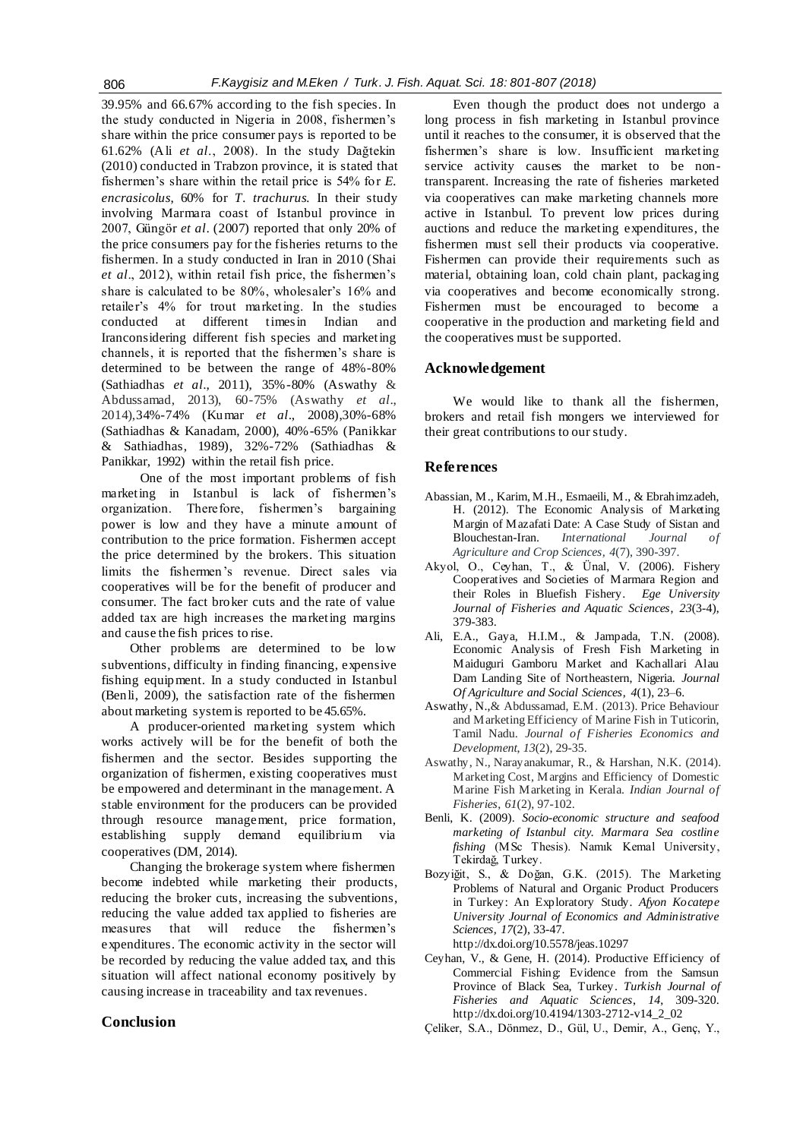39.95% and 66.67% according to the fish species. In the study conducted in Nigeria in 2008, fishermen's share within the price consumer pays is reported to be 61.62% (Ali *et al*., 2008). In the study Dağtekin (2010) conducted in Trabzon province, it is stated that fishermen's share within the retail price is 54% for *E. encrasicolus*, 60% for *T. trachurus.* In their study involving Marmara coast of Istanbul province in 2007, Güngör *et al*. (2007) reported that only 20% of the price consumers pay for the fisheries returns to the fishermen. In a study conducted in Iran in 2010 (Shai *et al*., 2012), within retail fish price, the fishermen's share is calculated to be 80%, wholesaler's 16% and retailer's 4% for trout marketing. In the studies conducted at different timesin Indian and Iranconsidering different fish species and marketing channels, it is reported that the fishermen's share is determined to be between the range of 48%-80% (Sathiadhas *et al*., 2011), 35%-80% (Aswathy & Abdussamad, 2013), 60-75% (Aswathy *et al*., 2014),34%-74% (Kumar *et al*., 2008),30%-68% (Sathiadhas & Kanadam, 2000), 40%-65% (Panikkar & Sathiadhas, 1989), 32%-72% (Sathiadhas & Panikkar, 1992) within the retail fish price.

One of the most important problems of fish marketing in Istanbul is lack of fishermen's organization. Therefore, fishermen's bargaining power is low and they have a minute amount of contribution to the price formation. Fishermen accept the price determined by the brokers. This situation limits the fishermen's revenue. Direct sales via cooperatives will be for the benefit of producer and consumer. The fact broker cuts and the rate of value added tax are high increases the marketing margins and cause the fish prices to rise.

Other problems are determined to be low subventions, difficulty in finding financing, expensive fishing equipment. In a study conducted in Istanbul (Benli, 2009), the satisfaction rate of the fishermen about marketing system is reported to be 45.65%.

A producer-oriented marketing system which works actively will be for the benefit of both the fishermen and the sector. Besides supporting the organization of fishermen, existing cooperatives must be empowered and determinant in the management. A stable environment for the producers can be provided through resource management, price formation, establishing supply demand equilibrium via cooperatives (DM, 2014).

Changing the brokerage system where fishermen become indebted while marketing their products, reducing the broker cuts, increasing the subventions, reducing the value added tax applied to fisheries are measures that will reduce the fishermen's expenditures. The economic activity in the sector will be recorded by reducing the value added tax, and this situation will affect national economy positively by causing increase in traceability and tax revenues.

## **Conclusion**

Even though the product does not undergo a long process in fish marketing in Istanbul province until it reaches to the consumer, it is observed that the fishermen's share is low. Insufficient marketing service activity causes the market to be nontransparent. Increasing the rate of fisheries marketed via cooperatives can make marketing channels more active in Istanbul. To prevent low prices during auctions and reduce the marketing expenditures, the fishermen must sell their products via cooperative. Fishermen can provide their requirements such as material, obtaining loan, cold chain plant, packaging via cooperatives and become economically strong. Fishermen must be encouraged to become a cooperative in the production and marketing field and the cooperatives must be supported.

## **Acknowledgement**

We would like to thank all the fishermen, brokers and retail fish mongers we interviewed for their great contributions to our study.

#### **References**

- Abassian, M., Karim, M.H., Esmaeili, M., & Ebrahimzadeh, H. (2012). The Economic Analysis of Marketing Margin of Mazafati Date: A Case Study of Sistan and Blouchestan-Iran. *International Journal of Agriculture and Crop Sciences, 4*(7), 390-397.
- Akyol, O., Ceyhan, T., & Ünal, V. (2006). Fishery Cooperatives and Societies of Marmara Region and their Roles in Bluefish Fishery. *Ege University Journal of Fisheries and Aquatic Sciences*, *23*(3-4), 379-383.
- Ali, E.A., Gaya, H.I.M., & Jampada, T.N. (2008). Economic Analysis of Fresh Fish Marketing in Maiduguri Gamboru Market and Kachallari Alau Dam Landing Site of Northeastern, Nigeria. *Journal Of Agriculture and Social Sciences*, *4*(1), 23–6.
- Aswathy, N.,& Abdussamad, E.M. (2013). Price Behaviour and Marketing Efficiency of Marine Fish in Tuticorin, Tamil Nadu. *Journal of Fisheries Economics and Development*, *13*(2), 29-35.
- Aswathy, N., Narayanakumar, R., & Harshan, N.K. (2014). Marketing Cost, Margins and Efficiency of Domestic Marine Fish Marketing in Kerala. *Indian Journal of Fisheries*, *61*(2), 97-102.
- Benli, K. (2009). *Socio-economic structure and seafood marketing of Istanbul city. Marmara Sea costline fishing* (MSc Thesis). Namık Kemal University, Tekirdağ, Turkey.
- Bozyiğit, S., & Doğan, G.K. (2015). The Marketing Problems of Natural and Organic Product Producers in Turkey: An Exploratory Study. *Afyon Kocatepe University Journal of Economics and Administrative Sciences, 17*(2), 33-47. http://dx.doi.org/10.5578/jeas.10297
- Ceyhan, V., & Gene, H. (2014). Productive Efficiency of Commercial Fishing: Evidence from the Samsun Province of Black Sea, Turkey. *Turkish Journal of Fisheries and Aquatic Sciences*, *14*, 309-320.
- http://dx.doi.org/10.4194/1303-2712-v14\_2\_02 Çeliker, S.A., Dönmez, D., Gül, U., Demir, A., Genç, Y.,